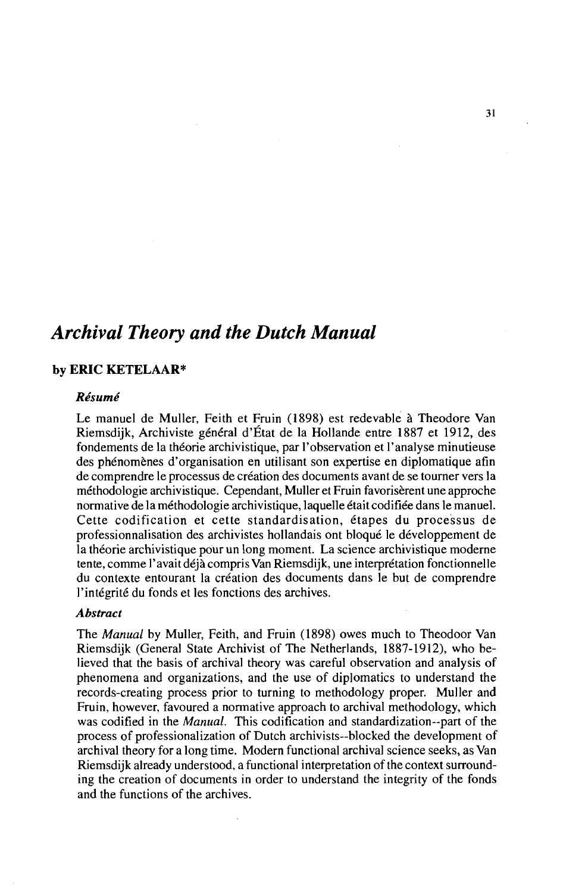# *Archival Theory and the Dutch Manual*

# **by ERIC KETELAAR\***

# *Rkume'*

Le manuel de Muller, Feith et Fruin (1898) est redevable à Theodore Van Riemsdijk, Archiviste général d'État de la Hollande entre 1887 et 1912, des fondements de la théorie archivistique, par l'observation et l'analyse minutieuse des phénomènes d'organisation en utilisant son expertise en diplomatique afin de comprendre le processus de création des documents avant de se tourner vers la méthodologie archivistique. Cependant, Muller et Fruin favorisèrent une approche normative de la méthodologie archivistique, laquelle était codifiée dans le manuel. Cette codification et cette standardisation, étapes du processus de professionnalisation des archivistes hollandais ont bloqué le développement de la théorie archivistique pour un long moment. La science archivistique moderne tente, comme l'avait déjà compris Van Riemsdijk, une interprétation fonctionnelle du contexte entourant la création des documents dans le but de comprendre l'intégrité du fonds et les fonctions des archives.

## *Abstract*

The *Manual* by Muller, Feith, and Fruin (1898) owes much to Theodoor Van Riemsdijk (General State Archivist of The Netherlands, 1887-1912), who believed that the basis of archival theory was careful observation and analysis of phenomena and organizations, and the use of diplomatics to understand the records-creating process prior to turning to methodology proper. Muller and Fruin, however, favoured a normative approach to archival methodology, which was codified in the *Manual.* This codification and standardization--part of the process of professionalization of Dutch archivists--blocked the development of archival theory for a long time. Modern functional archival science seeks, as Van Riemsdijk already understood, a functional interpretation of the context surrounding the creation of documents in order to understand the integrity of the fonds and the functions of the archives.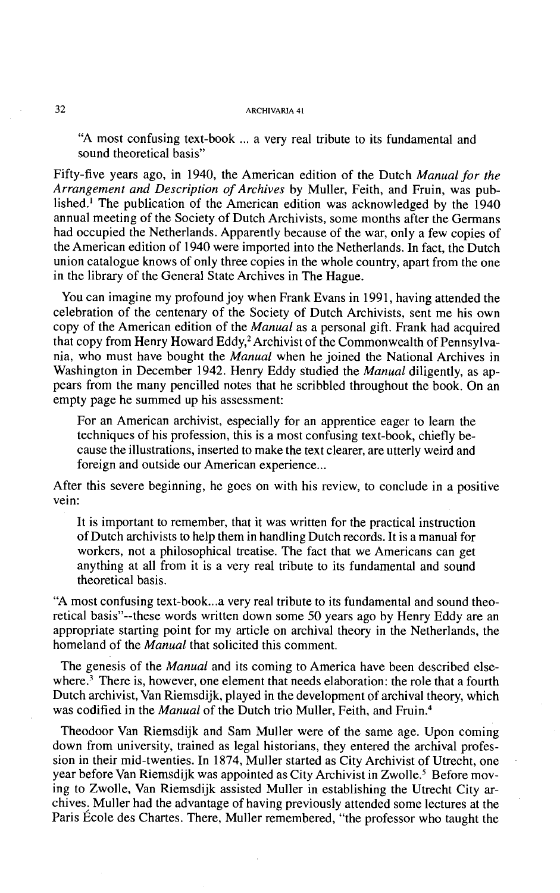"A most confusing text-book ... a very real tribute to its fundamental and sound theoretical basis"

Fifty-five years ago, in 1940, the American edition of the Dutch *Manual for the Arrangement and Description of Archives* by Muller, Feith, and Fruin, was published.<sup>1</sup> The publication of the American edition was acknowledged by the  $1940$ annual meeting of the Society of Dutch Archivists, some months after the Germans had occupied the Netherlands. Apparently because of the war, only a few copies of the American edition of 1940 were imported into the Netherlands. In fact, the Dutch union catalogue knows of only three copies in the whole country, apart from the one in the library of the General State Archives in The Hague.

You can imagine my profound joy when Frank Evans in 1991, having attended the celebration of the centenary of the Society of Dutch Archivists, sent me his own copy of the American edition of the *Manual* as a personal gift. Frank had acquired that copy from Henry Howard Eddy,<sup>2</sup> Archivist of the Commonwealth of Pennsylvania, who must have bought the *Manual* when he joined the National Archives in Washington in December 1942. Henry Eddy studied the *Manual* diligently, as appears from the many pencilled notes that he scribbled throughout the book. On an empty page he summed up his assessment:

For an American archivist, especially for an apprentice eager to learn the techniques of his profession, this is a most confusing text-book, chiefly because the illustrations, inserted to make the text clearer, are utterly weird and foreign and outside our American experience...

After this severe beginning, he goes on with his review, to conclude in a positive vein:

It is important to remember, that it was written for the practical instruction of Dutch archivists to help them in handling Dutch records. It is a manual for workers, not a philosophical treatise. The fact that we Americans can get anything at all from it is a very real tribute to its fundamental and sound theoretical basis.

"A most confusing text-book ... a very real tribute to its fundamental and sound theoretical basis"--these words written down some 50 years ago by Henry Eddy are an appropriate starting point for my article on archival theory in the Netherlands, the homeland of the *Manual* that solicited this comment.

The genesis of the *Manual* and its coming to America have been described elsewhere.<sup>3</sup> There is, however, one element that needs elaboration: the role that a fourth Dutch archivist, Van Riemsdijk, played in the development of archival theory, which was codified in the *Manual* of the Dutch trio Muller, Feith, and Fruin.<sup>4</sup>

Theodoor Van Riemsdijk and Sam Muller were of the same age. Upon coming down from university, trained as legal historians, they entered the archival profession in their mid-twenties. In 1874, Muller started as City Archivist of Utrecht, one year before Van Riemsdijk was appointed as City Archivist in Zwolle.<sup>5</sup> Before moving to Zwolle, Van Riemsdijk assisted Muller in establishing the Utrecht City archives; Muller had the advantage of having previously attended some lectures at the Paris Ecole des Chartes. There, Muller remembered, "the professor who taught the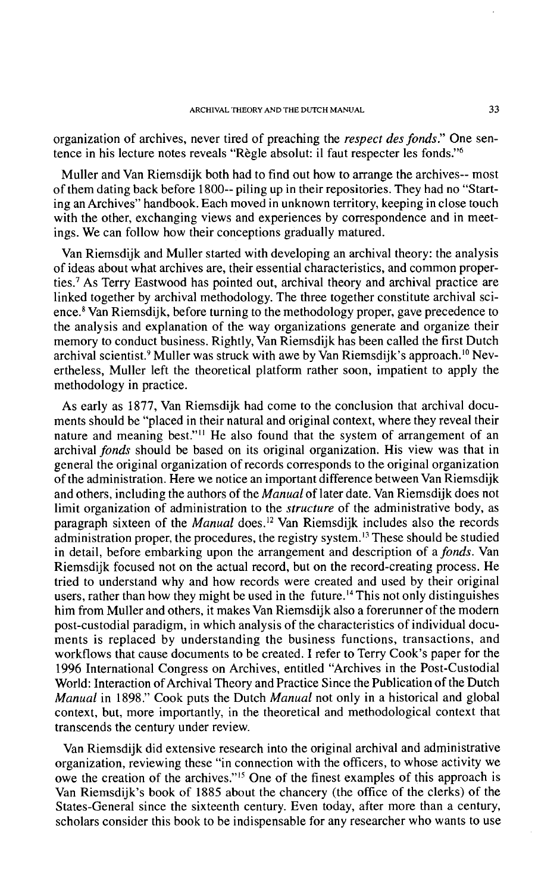organization of archives, never tired of preaching the *respect des fonds."* One sentence in his lecture notes reveals "Règle absolut: il faut respecter les fonds."<sup>6</sup>

Muller and Van Riemsdijk both had to find out how to arrange the archives-- most of them dating back before 1800-- piling up in their repositories. They had no "Starting an Archives" handbook. Each moved in unknown territory, keeping in close touch with the other, exchanging views and experiences by correspondence and in meetings. We can follow how their conceptions gradually matured.

Van Riemsdijk and Muller started with developing an archival theory: the analysis of ideas about what archives are, their essential characteristics, and common properties.7 As Terry Eastwood has pointed out, archival theory and archival practice are linked together by archival methodology. The three together constitute archival science. $8$  Van Riemsdijk, before turning to the methodology proper, gave precedence to the analysis and explanation of the way organizations generate and organize their memory to conduct business. Rightly, Van Riemsdijk has been called the first Dutch archival scientist.<sup>9</sup> Muller was struck with awe by Van Riemsdijk's approach.<sup>10</sup> Nevertheless, Muller left the theoretical platform rather soon, impatient to apply the methodology in practice.

As early as 1877, Van Riemsdijk had come to the conclusion that archival documents should be "placed in their natural and original context, where they reveal their nature and meaning best."<sup>11</sup> He also found that the system of arrangement of an archival *fonds* should be based on its original organization. His view was that in general the original organization of records corresponds to the original organization of the administration. Here we notice an important difference between Van Riemsdijk and others, including the authors of the *Manual* of later date. Van Riemsdijk does not limit organization of administration to the *structure* of the administrative body, as paragraph sixteen of the *Manual* does.<sup>12</sup> Van Riemsdijk includes also the records administration proper, the procedures, the registry system.<sup>13</sup> These should be studied in detail, before embarking upon the arrangement and description of a *fonds.* Van Riemsdijk focused not on the actual record, but on the record-creating process. He tried to understand why and how records were created and used by their original users, rather than how they might be used in the future.<sup>14</sup> This not only distinguishes him from Muller and others, it makes Van Riemsdijk also a forerunner of the modern post-custodial paradigm, in which analysis of the characteristics of individual documents is replaced by understanding the business functions, transactions, and workflows that cause documents to be created. I refer to Terry Cook's paper for the 1996 International Congress on Archives, entitled "Archives in the Post-Custodial World: Interaction of Archival Theory and Practice Since the Publication of the Dutch *Manual* in 1898." Cook puts the Dutch *Manual* not only in a historical and global context, but, more importantly, in the theoretical and methodological context that transcends the century under review.

Van Riemsdijk did extensive research into the original archival and administrative organization, reviewing these "in connection with the officers, to whose activity we owe the creation of the archives."<sup>15</sup> One of the finest examples of this approach is Van Riemsdijk's book of 1885 about the chancery (the office of the clerks) of the States-General since the sixteenth century. Even today, after more than a century, scholars consider this book to be indispensable for any researcher who wants to use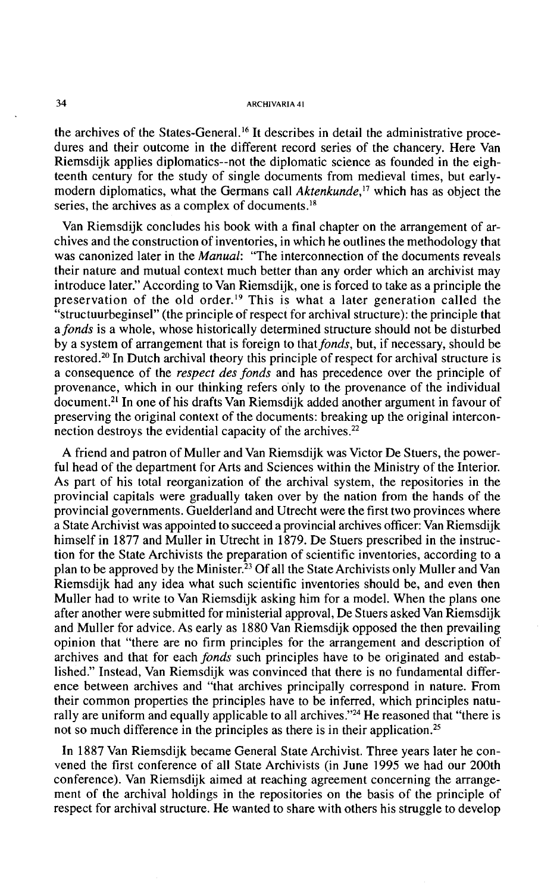the archives of the States-General.<sup>16</sup> It describes in detail the administrative procedures and their outcome in the different record series of the chancery. Here Van Riemsdijk applies diplomatics--not the diplomatic science as founded in the eighteenth century for the study of single documents from medieval times, but earlymodern diplomatics, what the Germans call Aktenkunde,<sup>17</sup> which has as object the series, the archives as a complex of documents. $^{18}$ 

Van Riemsdijk concludes his book with a final chapter on the arrangement of archives and the construction of inventories, in which he outlines the methodology that was canonized later in the *Manual*: "The interconnection of the documents reveals their nature and mutual context much better than any order which an archivist may introduce later." According to Van Riemsdijk, one is forced to take as a principle the preservation of the old order.<sup>19</sup> This is what a later generation called the "structuurbeginsel" (the principle of respect for archival structure): the principle that a fonds is a whole, whose historically determined structure should not be disturbed by a system of arrangement that is foreign to that *fonds*, but, if necessary, should be restored.20 In Dutch archival theory this principle of respect for archival structure is a consequence of the respect des fonds and has precedence over the principle of provenance, which in our thinking refers only to the provenance of the individual document.<sup>21</sup> In one of his drafts Van Riemsdijk added another argument in favour of preserving the original context of the documents: breaking up the original interconnection destroys the evidential capacity of the archives.<sup>22</sup>

A friend and patron of Muller and Van Riemsdijk was Victor De Stuers, the powerful head of the department for Arts and Sciences within the Ministry of the Interior. As part of his total reorganization of the archival system, the repositories in the provincial capitals were gradually taken over by the nation from the hands of the provincial governments. Guelderland and Utrecht were the first two provinces where a State Archivist was appointed to succeed a provincial archives officer: Van Riemsdijk himself in 1877 and Muller in Utrecht in 1879. De Stuers prescribed in the instruction for the State Archivists the preparation of scientific inventories, according to a plan to be approved by the Minister.<sup>23</sup> Of all the State Archivists only Muller and Van Riemsdijk had any idea what such scientific inventories should be, and even then Muller had to write to Van Riemsdijk asking him for a model. When the plans one after another were submitted for ministerial approval, De Stuers asked Van Riemsdijk and Muller for advice. As early as 1880 Van Riemsdijk opposed the then prevailing opinion that "there are no firm principles for the arrangement and description of archives and that for each fonds such principles have to be originated and established." Instead, Van Riemsdijk was convinced that there is no fundamental difference between archives and "that archives principally correspond in nature. From their common properties the principles have to be inferred, which principles naturally are uniform and equally applicable to all archives."<sup>24</sup> He reasoned that "there is not so much difference in the principles as there is in their application.<sup>25</sup>

In 1887 Van Riemsdijk became General State Archivist. Three years later he convened the first conference of all State Archivists (in June 1995 we had our 200th conference). Van Riemsdijk aimed at reaching agreement concerning the arrangement of the archival holdings in the repositories on the basis of the principle of respect for archival structure. He wanted to share with others his struggle to develop

 $34$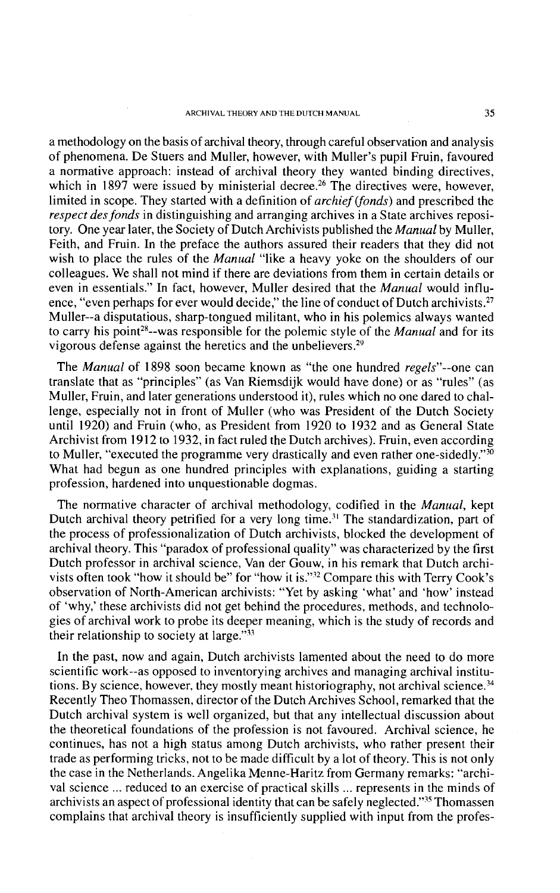a methodology on the basis of archival theory, through careful observation and analysis of phenomena. De Stuers and Muller, however, with Muller's pupil Fruin, favoured a normative approach: instead of archival theory they wanted binding directives, which in  $1897$  were issued by ministerial decree.<sup>26</sup> The directives were, however, limited in scope. They started with a definition of archief (fonds) and prescribed the respect des fonds in distinguishing and arranging archives in a State archives repository. One year later, the Society of Dutch Archivists published the *Manual* by Muller. Feith, and Fruin. In the preface the authors assured their readers that they did not wish to place the rules of the *Manual* "like a heavy yoke on the shoulders of our colleagues. We shall not mind if there are deviations from them in certain details or even in essentials." In fact, however, Muller desired that the *Manual* would influence, "even perhaps for ever would decide," the line of conduct of Dutch archivists. $^{27}$ Muller--a disputatious, sharp-tongued militant, who in his polemics always wanted to carry his point<sup>28</sup>--was responsible for the polemic style of the *Manual* and for its vigorous defense against the heretics and the unbelievers.<sup>29</sup>

The *Manual* of 1898 soon became known as "the one hundred *regels*"--one can translate that as "principles" (as Van Riemsdijk would have done) or as "rules" (as Muller, Fruin, and later generations understood it), rules which no one dared to challenge, especially not in front of Muller (who was President of the Dutch Society until 1920) and Fruin (who, as President from 1920 to 1932 and as General State Archivist from 1912 to 1932, in fact ruled the Dutch archives). Fruin, even according to Muller, "executed the programme very drastically and even rather one-sidedly." $\frac{30}{20}$ What had begun as one hundred principles with explanations, guiding a starting profession, hardened into unquestionable dogmas.

The normative character of archival methodology, codified in the *Manual*, kept Dutch archival theory petrified for a very long time.<sup>31</sup> The standardization, part of the process of professionalization of Dutch archivists, blocked the development of archival theory. This "paradox of professional quality" was characterized by the first Dutch professor in archival science, Van der Gouw, in his remark that Dutch archivists often took "how it should be" for "how it is."32 Compare this with Terry Cook's observation of North-American archivists: "Yet by asking 'what' and 'how' instead of 'why,' these archivists did not get behind the procedures, methods, and technologies of archival work to probe its deeper meaning, which is the study of records and their relationship to society at large." $33$ 

In the past, now and again, Dutch archivists lamented about the need to do more scientific work--as opposed to inventorying archives and managing archival institutions. By science, however, they mostly meant historiography, not archival science.<sup>34</sup> Recently Theo Thomassen, director of the Dutch Archives School, remarked that the Dutch archival system is well organized, but that any intellectual discussion about the theoretical foundations of the profession is not favoured. Archival science, he continues, has not a high status among Dutch archivists, who rather present their trade as performing tricks, not to be made difficult by a lot of theory. This is not only the case in the Netherlands. Angelika Menne-Haritz from Germany remarks: "archival science ... reduced to an exercise of practical skills ... represents in the minds of archivists an aspect of professional identity that can be safely neglected."<sup>35</sup> Thomassen complains that archival theory is insufficiently supplied with input from the profes-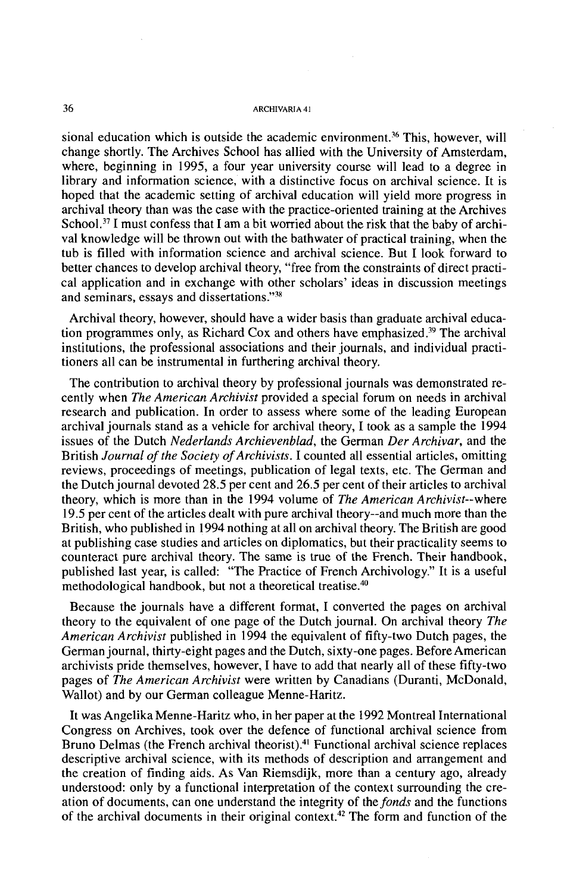sional education which is outside the academic environment.<sup>36</sup> This, however, will change shortly. The Archives School has allied with the University of Amsterdam, where, beginning in 1995, a four year university course will lead to a degree in library and information science, with a distinctive focus on archival science. It is hoped that the academic setting of archival education will yield more progress in archival theory than was the case with the practice-oriented training at the Archives School.<sup>37</sup> I must confess that I am a bit worried about the risk that the baby of archival knowledge will be thrown out with the bathwater of practical training, when the tub is filled with information science and archival science. But I look forward to better chances to develop archival theory, "free from the constraints of direct practical application and in exchange with other scholars' ideas in discussion meetings and seminars, essays and dissertations."<sup>38</sup>

Archival theory, however, should have a wider basis than graduate archival education programmes only, as Richard Cox and others have emphasized.?' The archival institutions, the professional associations and their journals, and individual practitioners all can be instrumental in furthering archival theory.

The contribution to archival theory by professional journals was demonstrated recently when *The American Archivist* provided a special forum on needs in archival research and publication. In order to assess where some of the leading European archival journals stand as a vehicle for archival theory, I took as a sample the 1994 issues of the Dutch *Nederlands Archievenblad,* the German *Der Archivar,* and the British *Journal of the Society of Archivists. I* counted all essential articles, omitting reviews, proceedings of meetings, publication of legal texts, etc. The German and the Dutch journal devoted 28.5 per cent and 26.5 per cent of their articles to archival theory, which is more than in the 1994 volume of *The American Archivist--where*  19.5 per cent of the articles dealt with pure archival theory--and much more than the British, who published in 1994 nothing at all on archival theory. The British are good at publishing case studies and articles on diplomatics, but their practicality seems to counteract pure archival theory. The same is true of the French. Their handbook, published last year, is called: "The Practice of French Archivology." It is a useful methodological handbook, but not a theoretical treatise.40

Because the journals have a different format, I converted the pages on archival theory to the equivalent of one page of the Dutch journal. On archival theory *The American Archivist* published in 1994 the equivalent of fifty-two Dutch pages, the German journal, thirty-eight pages and the Dutch, sixty-one pages. Before American archivists pride themselves, however, I have to add that nearly all of these fifty-two pages of *The American Archivist* were written by Canadians (Duranti, McDonald, Wallot) and by our German colleague Menne-Haritz.

It was Angelika Menne-Haritz who, in her paper at the 1992 Montreal International Congress on Archives, took over the defence of functional archival science from Bruno Delmas (the French archival theorist).<sup>41</sup> Functional archival science replaces descriptive archival science, with its methods of description and arrangement and the creation of finding aids. As Van Riemsdijk, more than a century ago, already understood: only by a functional interpretation of the context surrounding the creation of documents, can one understand the integrity of the *fonds* and the functions of the archival documents in their original context.<sup>42</sup> The form and function of the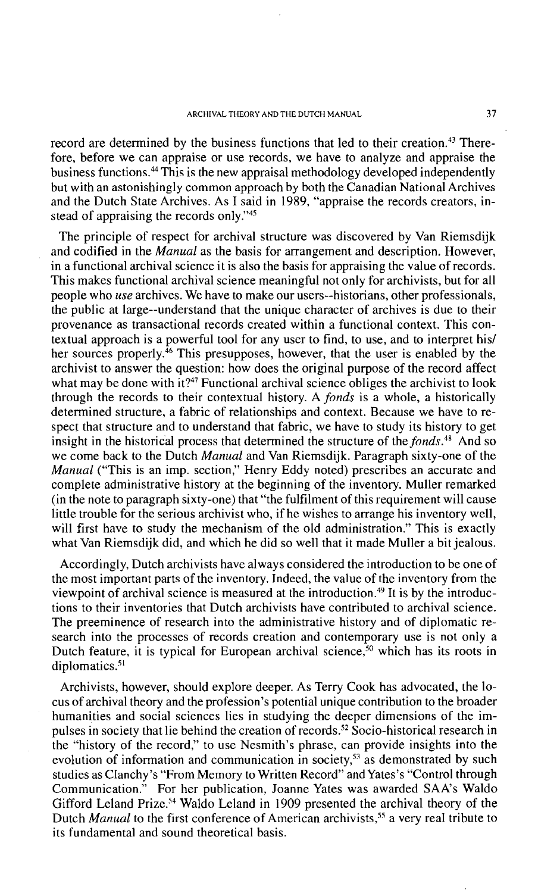record are determined by the business functions that led to their creation.<sup>43</sup> Therefore, before we can appraise or use records, we have to analyze and appraise the business functions.<sup>44</sup> This is the new appraisal methodology developed independently but with an astonishingly common approach by both the Canadian National Archives and the Dutch State Archives. As I said in 1989, "appraise the records creators, instead of appraising the records only."45

The principle of respect for archival structure was discovered by Van Riemsdijk and codified in the *Manual* as the basis for arrangement and description. However, in a functional archival science it is also the basis for appraising the value of records. This makes functional archival science meaningful not only for archivists, but for all people who use archives. We have to make our users--historians, other professionals, the public at large--understand that the unique character of archives is due to their provenance as transactional records created within a functional context. This contextual approach is a powerful tool for any user to find, to use, and to interpret his1 her sources properly.<sup>46</sup> This presupposes, however, that the user is enabled by the archivist to answer the question: how does the original purpose of the record affect what may be done with it?<sup>47</sup> Functional archival science obliges the archivist to look through the records to their contextual history. A fonds is a whole, a historically determined structure, a fabric of relationships and context. Because we have to respect that structure and to understand that fabric, we have to study its history to get insight in the historical process that determined the structure of the *fonds*.<sup>48</sup> And so we come back to the Dutch *Manual* and Van Riemsdijk. Paragraph sixty-one of the Manual ("This is an imp. section," Henry Eddy noted) prescribes an accurate and complete administrative history at the beginning of the inventory. Muller remarked (in the note to paragraph sixty-one) that "the fulfilment of this requirement will cause little trouble for the serious archivist who, if he wishes to arrange his inventory well, will first have to study the mechanism of the old administration." This is exactly what Van Riemsdijk did, and which he did so well that it made Muller a bit jealous.

Accordingly, Dutch archivists have always considered the introduction to be one of the most important parts of the inventory. Indeed, the value of the inventory from the viewpoint of archival science is measured at the introduction.<sup>49</sup> It is by the introductions to their inventories that Dutch archivists have contributed to archival science. The preeminence of research into the administrative history and of diplomatic research into the processes of records creation and contemporary use is not only a Dutch feature, it is typical for European archival science,<sup>50</sup> which has its roots in diplomatics.<sup>51</sup>

Archivists, however, should explore deeper. As Terry Cook has advocated, the locus of archival theory and the profession's potential unique contribution to the broader humanities and social sciences lies in studying the deeper dimensions of the impulses in society that lie behind the creation of records.<sup>52</sup> Socio-historical research in the "history of the record," to use Nesmith's phrase, can provide insights into the evolution of information and communication in society,<sup> $53$ </sup> as demonstrated by such studies as Clanchy's "From Memory to Written Record" and Yates's "Control through Communication." For her publication, Joanne Yates was awarded SAA's Waldo Gifford Leland Prize.<sup>54</sup> Waldo Leland in 1909 presented the archival theory of the Dutch *Manual* to the first conference of American archivists,<sup>55</sup> a very real tribute to its fundamental and sound theoretical basis.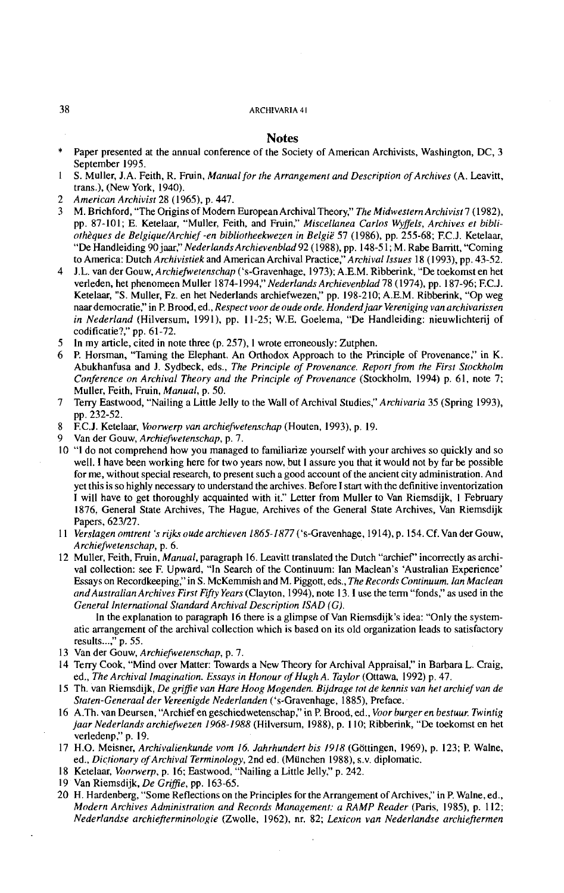- **Notes**<br>**\*** Paper presented at the annual conference of the Society of American Archivists, Washington, DC, 3 September 1995.
- 1 S. Muller, J.A. Feith, R. Fruin, *Manual for the Arrangement and Description of Archives* (A. Leavitt, trans.), (New York, 1940).
- 2 *American Archivist* 28 (1965). p. 447.
- 3 M. Brichford, "The Origins of Modem European Archival Theory," *The Midwestern Archivist 7* (1982). pp. 87-101; E. Ketelaar, "Muller, Feith, and Fruin," *Miscellanea Carlos Wffels, Archives et bibliothZques de Belgique/Archief -en bibliotheekwezen in Belgie* 57 (1986). pp. 255-68; F.C.J. Ketelaar, "De Handleiding 90 jaar," *Nederlands Archievenblad* 92 (1988). pp. 148-51; M. Rabe Banitt, "Coming to America: Dutch *Archivistiek* and American Archival Practice," *Archival Issues* 18 (1993), pp. 43-52.
- 4 J.L. van der Gouw, *Archiejivetenschap* ('s-Gravenhage, 1973); A.E.M. Ribberink, "De toekomst en het verleden, het phenomeen Muller 1874-1994," *Nederlands Archievenblad* 78 (1974), pp. 187-96; F.C.J. Ketelaar, "S. Muller, Fz. en het Nederlands archiefwezen," pp. 198-210; A.E.M. Ribberink, "Op weg naar democratie," in P. Brood, ed., *Respect voor de oude orde. Honderdjaar Vereniging van archivarissen in Nederland* (Hilversum, 1991), pp. 11-25; W.E. Goelema, "De Handleiding: nieuwlichterij of codificatie?," pp. 61-72.
- 5 In my article, cited in note three (p. 257), I wrote erroneously: Zutphen.
- 6 P. Horsman, "Taming the Elephant. An Orthodox Approach to the Principle of Provenance," in K. Abukhanfusa and J. Sydbeck, eds., *The Principle of Provenance. Report from the First Stockholm Conference on Archival Theory and the Principle of Provenance* (Stockholm, 1994) p. 61, note 7; Muller, Feith, Fruin, *Manual,* p. 50.
- 7 Terry Eastwood, "Nailing a Little Jelly to the Wall of Archival Studies," *Archivaria* 35 (Spring 1993), pp. 232-52.
- 8 F.C.J. Ketelaar, *Voowerp van archiefietenschap* (Houten, 1993). p. 19.
- 9 Van der Gouw, *Archiejivetenschap,* p. 7.
- 10 "1 do not comprehend how you managed to familiarize yourself with your archives so quickly and so well. 1 have been working here for two years now, but I assure you that it would not by far be possible for me, without special research, to present such a good account of the ancient city administration. And vet this is so highlv necessary to understand the archives. Before I start with the definitive inventorization I will have to get thoroughly acquainted with it." Letter from Muller to Van Riemsdijk, 1 February 1876, General State Archives, The Hague, Archives of the General State Archives, Van Riemsdijk Papers, 623127.
- 11 *Verslagen omtrent 's rijb oude archieven 1865-1877* ('s-Gravenhage, 1914). p. 154. Cf. Van der Gouw, *Archiejivetenschap,* p. 6.
- 12 Muller, Feith, Fmin, *Manual,* paragraph 16. Leavitt translated the Dutch "archief' incorrectly as archival collection: see F. Upward, "In Search of the Continuum: Ian Maclean's 'Australian Experience' Essays on Recordkeeping," in S. McKemmish and M. Piggott, eds., *The Records Continuum. Ian Maclean andAustralian Archives First Fifty Years* (Clayton, 1994), note 13.1 use the term ''fonds." as used in the *General International Standard Archival Description ISAD (G).*

In the explanation to paragraph 16 there is a glimpse of Van Riemsdijk's idea: "Only the systematic arrangement of the archival collection which is based on its old organization leads to satisfactory results ...," p. 55.

- 13 Van der Gouw, *Archiefiefenschap,* p. 7.
- 14 Terry Cook, "Mind over Matter: Towards a New Theory for Archival Appraisal," in Barbara L. Craig, ed., *The Archival Imagination. Essays in Honour of Hugh A. Taylor* (Ottawa, 1992) p. 47.
- 15 Th. van Riemsdijk, *De griffie van Hare Hoog Mogenden. Bijdrage tot de kennis van het archief van de Staten-Generaal der Vereenigde Nederlanden* ('s-Gravenhage, 1885). Preface.
- 16 A.Th. van Deursen, "Archief en geschiedwetenschap," in P. Brood, ed., *Voor burger en bestuur. Twintig jaar Nederlands archiefwezen 1968-1988* (Hilversum, 1988), p. 110; Ribberink, **"De** toekomst en het verledenp," p. 19.
- 17 H.O. Meisner, *Archivalienkunde vom 16. Jahrhundert bis 1918* (Gottingen, 1969). p. 123; P. Walne, ed., *Dictionary of Archival Terminology,* 2nd ed. (Miinchen 1988). s.v. diplomatic.
- 18 Ketelaar, *Voonuerp,* p. 16; Eastwood, "Nailing a Little Jelly," p. 242.
- 19 Van Riemsdijk, *De Grifie,* pp. 163-65.
- 20 H. Hardenberg, "Some Reflections on the Principles for the Arrangement of Archives," in P. Walne, ed., *Modern Archives Administration and Records Management: a RAMP Reader (Paris, 1985), p. 112; Nederlandse archiefterminologie* (Zwolle, 1962). nr. 82; *Lexicon van Nederlandse arclzieftermen*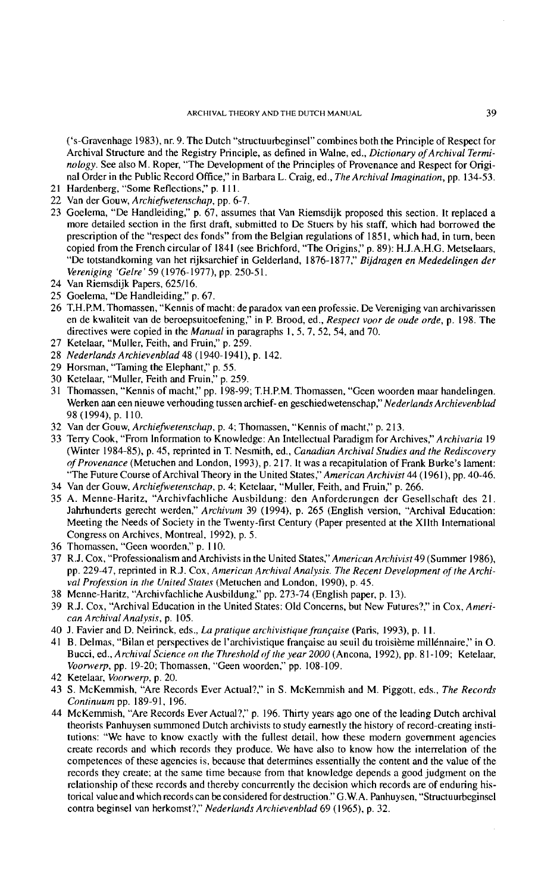('s-Gravenhage 1983), nr. 9. The Dutch "structuurbeginsel" combines both the Principle of Respect for Archival Structure and the Registry Principle, as defined in Walne, ed., *Dictionary of Archival Terminology.* See also M. Roper, "The Development of the Principles of Provenance and Respect for Original Order in the Public Record Office," in Barbara L. Craig, ed., *The Archival Imagination,* pp. 134-53.

- 21 Hardenberg, "Some Reflections," p. 111.
- 22 Van der Gouw, *Archiefwetenschap,* pp. 6-7.
- 23 Goelema, "De Handleiding," p. 67, assumes that Van Riemsdijk proposed this section. It replaced a more detailed section in the first draft, submitted to De Stuers by his staff, which had borrowed the prescription of the "respect des fonds" from the Belgian regulations of 1851, which had, in turn, been copied from the French circular of 1841 (see Brichford, "The Origins," p. 89): H.J.A.H.G. Metselaars, "De totstandkoming van het rijksarchief in Gelderland, 1876-1877,'' *Bijdragen en Mededelingen der Vereniging 'Gelre'* 59 (1976-1977), pp. 250-5 1.
- 24 Van Riemsdijk Papers, 625116.
- 25 Goelema, "De Handleiding," p. 67.
- 26 T.H.P.M. Thomassen, "Kennis of macht: de paradox van een professie. De Vereniging van archivarissen en de kwaliteit van de beroepsuitoefening," in P. Brood, ed., *Respect voor de oude orde,* p. 198. The directives were copied in the *Manual* in paragraphs I, 5, 7, 52, 54, and 70.
- 27 Ketelaar, "Muller, Feith, and Fruin," p. 259.
- 28 *Nederlands Archievenblad* 48 (1940-1941). p. 142.
- 29 Horsman, "Taming the Elephant," p. 55.
- 30 Ketelaar, "Muller, Feith and Fruin," p. 259.
- 31 Thomassen, "Kennis of macht," pp. 198-99; T.H.P.M. Thomassen, "Geen woorden maar handelingen. Werken am een nieuwe verhouding tussen archief- en geschiedwetenschap," *Nederlands Archievenblad*  98 (1994), p. 1 10.
- 32 Van der Gouw, *Archiefwetenschap,* p. 4; Thomassen, "Kennis of macht," p. 213.
- 33 Terry Cook, "From Information to Knowledge: An Intellectual Paradigm for Archives," *Archivaria* 19 (Winter 1984.85). p. 45, reprinted in T. Nesmith, ed., *Canadian Archival Studies and the Rediscovery of Provenance* (Metuchen and London, 1993), p. 217. It was a recapitulation of Frank Burke's lament: "The Future Course of Archival Theory in the United *States,"American Archivist* 44 (1961), pp. 40-46.
- 34 Van der Gouw, *Archiefwetenschap,* p. 4; Ketelaar, "Muller, Feith, and Fruin," p. 266.
- 35 A. Menne-Haritz, "Archivfachliche Ausbildung: den Anforderungen der Gesellschaft des 21. Jahrhunderts gerecht werden," *Archivuni* 39 (1994), p. 265 (English version, "Archival Education: Meeting the Needs of Society in the Twenty-first Century (Paper presented at the XIlth International Congress on Archives, Montreal, 1992), p. 5.
- 36 Thomassen, "Geen woorden," p. 110.
- 37 R.J. Cox, "Professionalism and Archivists in the United States," American Archivist 49 (Summer 1986), pp. 229-47, reprinted in R.J. Cox, *American Archival Analysis. The Recent Development of the Archival Profession in the United States* (Metuchen and London, 1990). p. 45.
- 38 Menne-Haritz, "Archivfachliche Ausbildung," pp. 273-74 (English paper, p. 13).
- 39 R.J. Cox, "Archival Education in the United States: Old Concerns, but New Futures?," in Cox, *American Archival Analysis,* p. 105.
- 40 J. Favier and D. Neirinck, eds., La *pratique archivistique franpise* (Paris, 1993), p. I 1.
- 41 B. Delmas, "Bilan et perspectives de l'archivistique française au seuil du troisième millénnaire," in O. Bucci, ed., *Archival Science on the Threshold of the year 2000* (Ancona, 1992), pp. 81-109; Ketelaar, *Voorwerp,* pp. 19-20; Thomassen, "Geen woorden," pp. 108-109.
- 42 Ketelaar, *Voorwerp,* p. 20.
- 43 S. McKemmish, "Are Records Ever Actual?," in S. McKemmish and M. Piggott, eds., *The Records Continuum* pp. 189-91, 196.
- 44 McKemmish, "Are Records Ever Actual?," p. 196. Thirty years ago one of the leading Dutch archival theorists Panhuysen summoned Dutch archivists to study earnestly the history of record-creating institutions: "We have to know exactly with the fullest detail, how these modern government agencies create records and which records they produce. We have also to know how the interrelation of the competences of these agencies is, because that determines essentially the content and the value of the records they create; at the same time because from that knowledge depends a good judgment on the relationship of these records and thereby concurrently the decision which records are of enduring historical value and which records can be considered for destruction." G.W.A. Panhuysen, "Structuurbeginsel contra beginsel van herkomst?," *Nederlands Archievenblad* 69 (1965), p. 32.